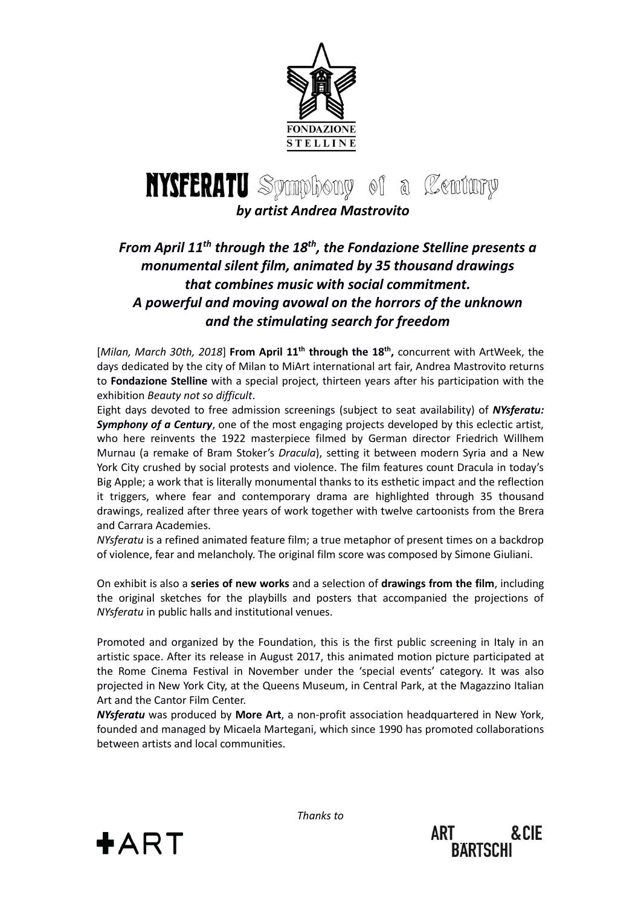

# NYSFERATU Symphony of a Century

*by artist Andrea Mastrovito*

# *From April 11th through the 18th, the Fondazione Stelline presents a monumental silent film, animated by 35 thousand drawings that combines music with social commitment. A powerful and moving avowal on the horrors of the unknown and the stimulating search for freedom*

[*Milan, March 30th, 2018*] **From April 11th through the 18th ,** concurrent with ArtWeek, the days dedicated by the city of Milan to MiArt international art fair, Andrea Mastrovito returns to **Fondazione Stelline** with a special project, thirteen years after his participation with the exhibition *Beauty not so difficult*.

Eight days devoted to free admission screenings (subject to seat availability) of *NYsferatu: Symphony of a Century*, one of the most engaging projects developed by this eclectic artist, who here reinvents the 1922 masterpiece filmed by German director Friedrich Willhem Murnau (a remake of Bram Stoker's *Dracula*), setting it between modern Syria and a New York City crushed by social protests and violence. The film features count Dracula in today's Big Apple; a work that is literally monumental thanks to its esthetic impact and the reflection it triggers, where fear and contemporary drama are highlighted through 35 thousand drawings, realized after three years of work together with twelve cartoonists from the Brera and Carrara Academies.

*NYsferatu* is a refined animated feature film; a true metaphor of present times on a backdrop of violence, fear and melancholy. The original film score was composed by Simone Giuliani.

On exhibit is also a **series of new works** and a selection of **drawings from the film**, including the original sketches for the playbills and posters that accompanied the projections of *NYsferatu* in public halls and institutional venues.

Promoted and organized by the Foundation, this is the first public screening in Italy in an artistic space. After its release in August 2017, this animated motion picture participated at the Rome Cinema Festival in November under the 'special events' category. It was also projected in New York City, at the Queens Museum, in Central Park, at the Magazzino Italian Art and the Cantor Film Center.

*NYsferatu* was produced by **More Art**, a non-profit association headquartered in New York, founded and managed by Micaela Martegani, which since 1990 has promoted collaborations between artists and local communities.



*Thanks to*